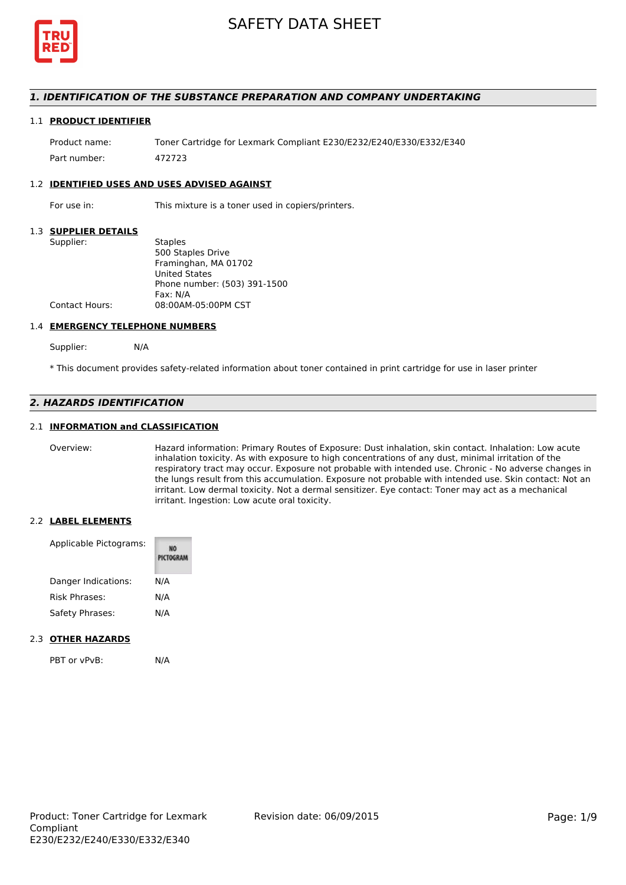

## *1. IDENTIFICATION OF THE SUBSTANCE PREPARATION AND COMPANY UNDERTAKING*

#### 1.1 **PRODUCT IDENTIFIER**

Product name: Toner Cartridge for Lexmark Compliant E230/E232/E240/E330/E332/E340 Part number: 472723

#### 1.2 **IDENTIFIED USES AND USES ADVISED AGAINST**

For use in: This mixture is a toner used in copiers/printers.

#### 1.3 **SUPPLIER DETAILS**

| Supplier:      | <b>Staples</b>               |
|----------------|------------------------------|
|                | 500 Staples Drive            |
|                | Framinghan, MA 01702         |
|                | <b>United States</b>         |
|                | Phone number: (503) 391-1500 |
|                | Fax: N/A                     |
| Contact Hours: | 08:00AM-05:00PM CST          |
|                |                              |

#### 1.4 **EMERGENCY TELEPHONE NUMBERS**

Supplier: N/A

\* This document provides safety-related information about toner contained in print cartridge for use in laser printer

# *2. HAZARDS IDENTIFICATION*

### 2.1 **INFORMATION and CLASSIFICATION**

Overview: Hazard information: Primary Routes of Exposure: Dust inhalation, skin contact. Inhalation: Low acute inhalation toxicity. As with exposure to high concentrations of any dust, minimal irritation of the respiratory tract may occur. Exposure not probable with intended use. Chronic - No adverse changes in the lungs result from this accumulation. Exposure not probable with intended use. Skin contact: Not an irritant. Low dermal toxicity. Not a dermal sensitizer. Eye contact: Toner may act as a mechanical irritant. Ingestion: Low acute oral toxicity.

#### 2.2 **LABEL ELEMENTS**

| Applicable Pictograms: | PICTOGRAM |
|------------------------|-----------|
| Danger Indications:    | N/A       |
| Risk Phrases:          | N/A       |
| Safety Phrases:        | N/A       |

#### 2.3 **OTHER HAZARDS**

PBT or vPvB: N/A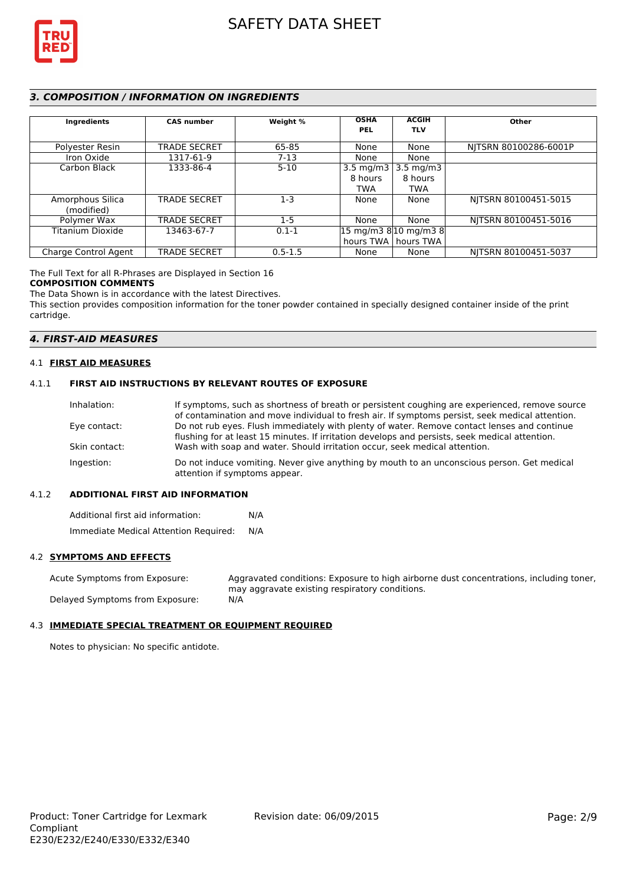

# *3. COMPOSITION / INFORMATION ON INGREDIENTS*

| Ingredients          | <b>CAS number</b>   | Weight %    | <b>OSHA</b><br><b>PEL</b> | <b>ACGIH</b><br><b>TLV</b>                                | Other                 |
|----------------------|---------------------|-------------|---------------------------|-----------------------------------------------------------|-----------------------|
| Polyester Resin      | <b>TRADE SECRET</b> | 65-85       | None                      | None                                                      | NITSRN 80100286-6001P |
| Iron Oxide           | 1317-61-9           | $7-13$      | None                      | None                                                      |                       |
| Carbon Black         | 1333-86-4           | $5 - 10$    | 3.5 mg/m3 $\vert$         | 3.5 mg/m3                                                 |                       |
|                      |                     |             | 8 hours                   | 8 hours                                                   |                       |
|                      |                     |             | <b>TWA</b>                | TWA                                                       |                       |
| Amorphous Silica     | <b>TRADE SECRET</b> | $1-3$       | None                      | None                                                      | NITSRN 80100451-5015  |
| (modified)           |                     |             |                           |                                                           |                       |
| Polymer Wax          | <b>TRADE SECRET</b> | $1-5$       | None                      | None                                                      | NITSRN 80100451-5016  |
| Titanium Dioxide     | 13463-67-7          | $0.1 - 1$   |                           | $ 15 \text{ mg/m}3 \text{ g} 10 \text{ mg/m}3 \text{ g} $ |                       |
|                      |                     |             |                           | hours TWA   hours TWA                                     |                       |
| Charge Control Agent | <b>TRADE SECRET</b> | $0.5 - 1.5$ | None                      | None                                                      | NITSRN 80100451-5037  |

The Full Text for all R-Phrases are Displayed in Section 16

#### **COMPOSITION COMMENTS**

The Data Shown is in accordance with the latest Directives.

This section provides composition information for the toner powder contained in specially designed container inside of the print cartridge.

### *4. FIRST-AID MEASURES*

#### 4.1 **FIRST AID MEASURES**

#### 4.1.1 **FIRST AID INSTRUCTIONS BY RELEVANT ROUTES OF EXPOSURE**

| If symptoms, such as shortness of breath or persistent coughing are experienced, remove source                              |
|-----------------------------------------------------------------------------------------------------------------------------|
| of contamination and move individual to fresh air. If symptoms persist, seek medical attention.                             |
| Do not rub eyes. Flush immediately with plenty of water. Remove contact lenses and continue                                 |
| flushing for at least 15 minutes. If irritation develops and persists, seek medical attention.                              |
| Wash with soap and water. Should irritation occur, seek medical attention.                                                  |
| Do not induce vomiting. Never give anything by mouth to an unconscious person. Get medical<br>attention if symptoms appear. |
|                                                                                                                             |

#### 4.1.2 **ADDITIONAL FIRST AID INFORMATION**

Additional first aid information: N/A Immediate Medical Attention Required: N/A

### 4.2 **SYMPTOMS AND EFFECTS**

Acute Symptoms from Exposure: Aggravated conditions: Exposure to high airborne dust concentrations, including toner, may aggravate existing respiratory conditions. Delayed Symptoms from Exposure: N/A

# 4.3 **IMMEDIATE SPECIAL TREATMENT OR EQUIPMENT REQUIRED**

Notes to physician: No specific antidote.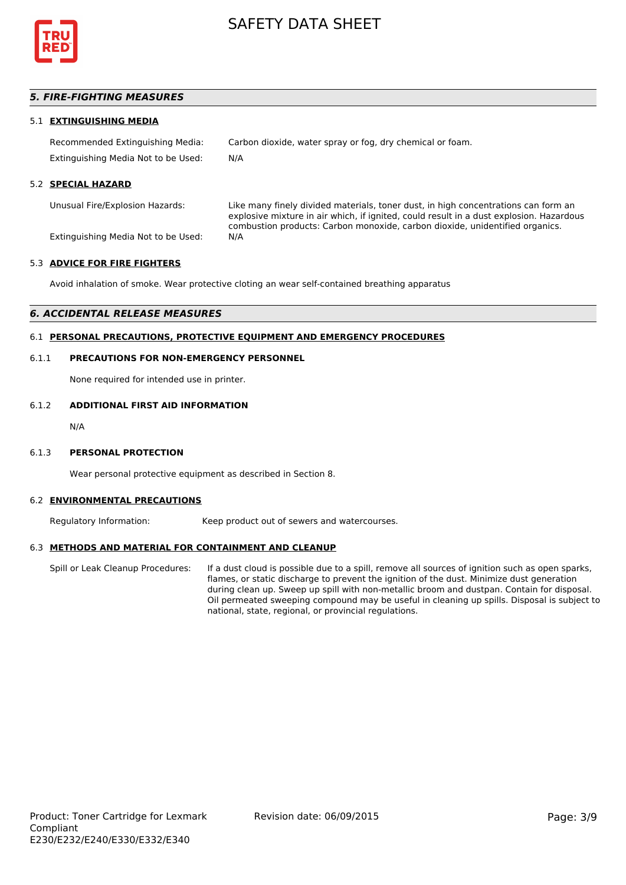

# *5. FIRE-FIGHTING MEASURES*

#### 5.1 **EXTINGUISHING MEDIA**

Recommended Extinguishing Media: Carbon dioxide, water spray or fog, dry chemical or foam. Extinguishing Media Not to be Used: N/A

#### 5.2 **SPECIAL HAZARD**

Unusual Fire/Explosion Hazards: Like many finely divided materials, toner dust, in high concentrations can form an explosive mixture in air which, if ignited, could result in a dust explosion. Hazardous combustion products: Carbon monoxide, carbon dioxide, unidentified organics.

Extinguishing Media Not to be Used: N/A

### 5.3 **ADVICE FOR FIRE FIGHTERS**

Avoid inhalation of smoke. Wear protective cloting an wear self-contained breathing apparatus

#### *6. ACCIDENTAL RELEASE MEASURES*

## 6.1 **PERSONAL PRECAUTIONS, PROTECTIVE EQUIPMENT AND EMERGENCY PROCEDURES**

#### 6.1.1 **PRECAUTIONS FOR NON-EMERGENCY PERSONNEL**

None required for intended use in printer.

# 6.1.2 **ADDITIONAL FIRST AID INFORMATION**

N/A

#### 6.1.3 **PERSONAL PROTECTION**

Wear personal protective equipment as described in Section 8.

#### 6.2 **ENVIRONMENTAL PRECAUTIONS**

Regulatory Information: Keep product out of sewers and watercourses.

#### 6.3 **METHODS AND MATERIAL FOR CONTAINMENT AND CLEANUP**

Spill or Leak Cleanup Procedures: If a dust cloud is possible due to a spill, remove all sources of ignition such as open sparks, flames, or static discharge to prevent the ignition of the dust. Minimize dust generation during clean up. Sweep up spill with non-metallic broom and dustpan. Contain for disposal. Oil permeated sweeping compound may be useful in cleaning up spills. Disposal is subject to national, state, regional, or provincial regulations.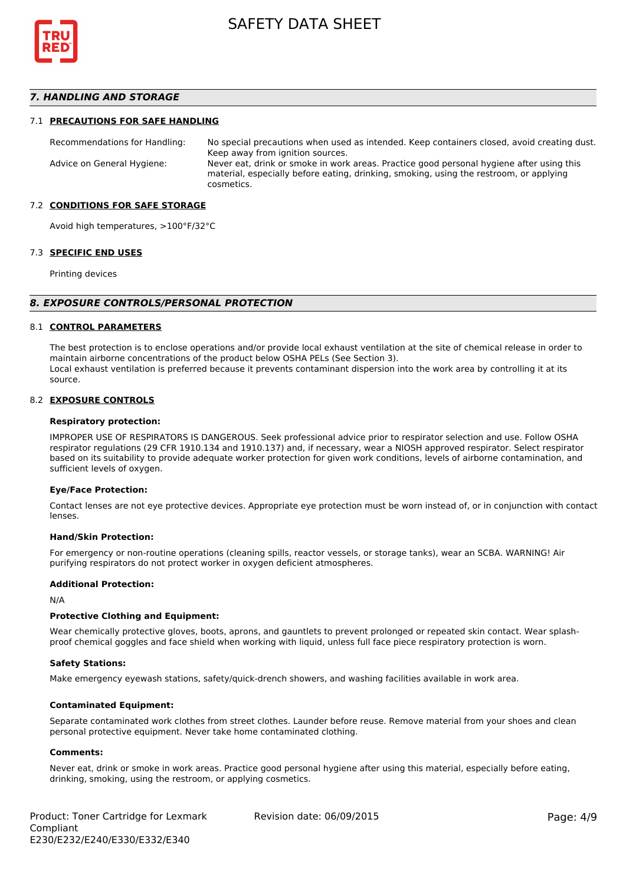

### *7. HANDLING AND STORAGE*

#### 7.1 **PRECAUTIONS FOR SAFE HANDLING**

Recommendations for Handling: No special precautions when used as intended. Keep containers closed, avoid creating dust. Keep away from ignition sources. Advice on General Hygiene: Never eat, drink or smoke in work areas. Practice good personal hygiene after using this material, especially before eating, drinking, smoking, using the restroom, or applying cosmetics.

#### 7.2 **CONDITIONS FOR SAFE STORAGE**

Avoid high temperatures, >100°F/32°C

#### 7.3 **SPECIFIC END USES**

Printing devices

#### *8. EXPOSURE CONTROLS/PERSONAL PROTECTION*

#### 8.1 **CONTROL PARAMETERS**

The best protection is to enclose operations and/or provide local exhaust ventilation at the site of chemical release in order to maintain airborne concentrations of the product below OSHA PELs (See Section 3). Local exhaust ventilation is preferred because it prevents contaminant dispersion into the work area by controlling it at its source.

#### 8.2 **EXPOSURE CONTROLS**

#### **Respiratory protection:**

IMPROPER USE OF RESPIRATORS IS DANGEROUS. Seek professional advice prior to respirator selection and use. Follow OSHA respirator regulations (29 CFR 1910.134 and 1910.137) and, if necessary, wear a NIOSH approved respirator. Select respirator based on its suitability to provide adequate worker protection for given work conditions, levels of airborne contamination, and sufficient levels of oxygen.

#### **Eye/Face Protection:**

Contact lenses are not eye protective devices. Appropriate eye protection must be worn instead of, or in conjunction with contact lenses.

#### **Hand/Skin Protection:**

For emergency or non-routine operations (cleaning spills, reactor vessels, or storage tanks), wear an SCBA. WARNING! Air purifying respirators do not protect worker in oxygen deficient atmospheres.

#### **Additional Protection:**

N/A

#### **Protective Clothing and Equipment:**

Wear chemically protective gloves, boots, aprons, and gauntlets to prevent prolonged or repeated skin contact. Wear splashproof chemical goggles and face shield when working with liquid, unless full face piece respiratory protection is worn.

#### **Safety Stations:**

Make emergency eyewash stations, safety/quick-drench showers, and washing facilities available in work area.

#### **Contaminated Equipment:**

Separate contaminated work clothes from street clothes. Launder before reuse. Remove material from your shoes and clean personal protective equipment. Never take home contaminated clothing.

#### **Comments:**

Never eat, drink or smoke in work areas. Practice good personal hygiene after using this material, especially before eating, drinking, smoking, using the restroom, or applying cosmetics.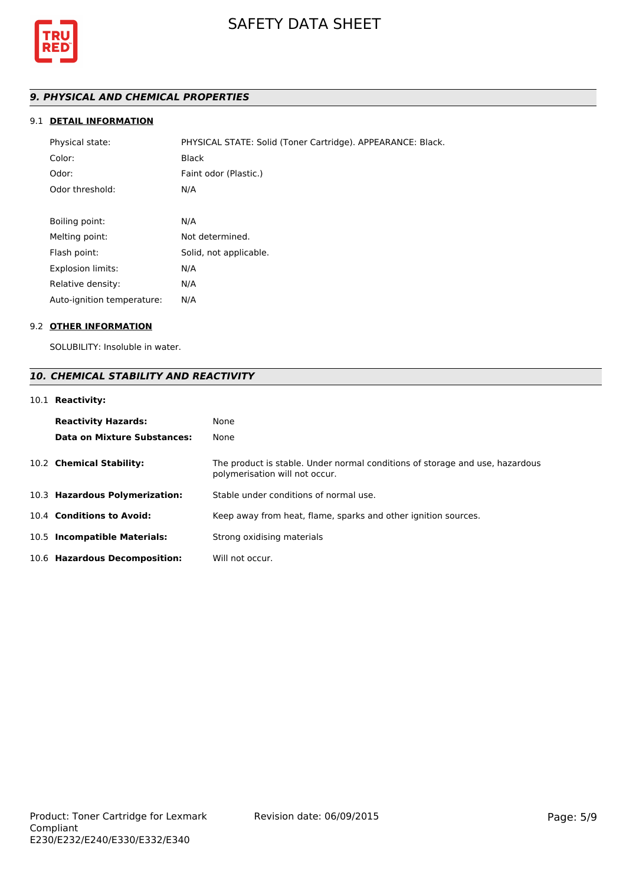

# *9. PHYSICAL AND CHEMICAL PROPERTIES*

# 9.1 **DETAIL INFORMATION**

| Physical state:            | PHYSICAL STATE: Solid (Toner Cartridge). APPEARANCE: Black. |
|----------------------------|-------------------------------------------------------------|
| Color:                     | <b>Black</b>                                                |
| Odor:                      | Faint odor (Plastic.)                                       |
| Odor threshold:            | N/A                                                         |
|                            |                                                             |
| Boiling point:             | N/A                                                         |
| Melting point:             | Not determined.                                             |
| Flash point:               | Solid, not applicable.                                      |
| <b>Explosion limits:</b>   | N/A                                                         |
| Relative density:          | N/A                                                         |
| Auto-ignition temperature: | N/A                                                         |

# 9.2 **OTHER INFORMATION**

SOLUBILITY: Insoluble in water.

# *10. CHEMICAL STABILITY AND REACTIVITY*

# 10.1 **Reactivity:**

| <b>Reactivity Hazards:</b><br>Data on Mixture Substances: | None<br>None                                                                                                   |
|-----------------------------------------------------------|----------------------------------------------------------------------------------------------------------------|
| 10.2 Chemical Stability:                                  | The product is stable. Under normal conditions of storage and use, hazardous<br>polymerisation will not occur. |
| 10.3 Hazardous Polymerization:                            | Stable under conditions of normal use.                                                                         |
| 10.4 Conditions to Avoid:                                 | Keep away from heat, flame, sparks and other ignition sources.                                                 |
| 10.5 Incompatible Materials:                              | Strong oxidising materials                                                                                     |
| 10.6 Hazardous Decomposition:                             | Will not occur.                                                                                                |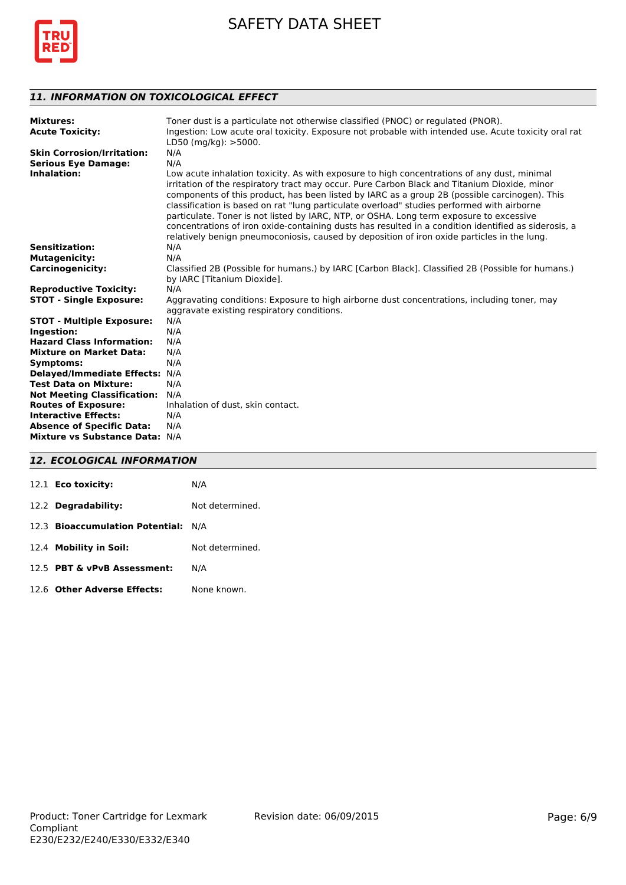

# *11. INFORMATION ON TOXICOLOGICAL EFFECT*

| <b>Mixtures:</b><br><b>Acute Toxicity:</b> | Toner dust is a particulate not otherwise classified (PNOC) or regulated (PNOR).<br>Ingestion: Low acute oral toxicity. Exposure not probable with intended use. Acute toxicity oral rat<br>$LD50$ (mg/kg): $>5000$ .                                                                                                                                                                                                                                                                                                                                                                                                                                                                        |
|--------------------------------------------|----------------------------------------------------------------------------------------------------------------------------------------------------------------------------------------------------------------------------------------------------------------------------------------------------------------------------------------------------------------------------------------------------------------------------------------------------------------------------------------------------------------------------------------------------------------------------------------------------------------------------------------------------------------------------------------------|
| <b>Skin Corrosion/Irritation:</b>          | N/A                                                                                                                                                                                                                                                                                                                                                                                                                                                                                                                                                                                                                                                                                          |
| <b>Serious Eye Damage:</b>                 | N/A                                                                                                                                                                                                                                                                                                                                                                                                                                                                                                                                                                                                                                                                                          |
| Inhalation:                                | Low acute inhalation toxicity. As with exposure to high concentrations of any dust, minimal<br>irritation of the respiratory tract may occur. Pure Carbon Black and Titanium Dioxide, minor<br>components of this product, has been listed by IARC as a group 2B (possible carcinogen). This<br>classification is based on rat "lung particulate overload" studies performed with airborne<br>particulate. Toner is not listed by IARC, NTP, or OSHA. Long term exposure to excessive<br>concentrations of iron oxide-containing dusts has resulted in a condition identified as siderosis, a<br>relatively benign pneumoconiosis, caused by deposition of iron oxide particles in the lung. |
| <b>Sensitization:</b>                      | N/A                                                                                                                                                                                                                                                                                                                                                                                                                                                                                                                                                                                                                                                                                          |
| <b>Mutagenicity:</b>                       | N/A                                                                                                                                                                                                                                                                                                                                                                                                                                                                                                                                                                                                                                                                                          |
| <b>Carcinogenicity:</b>                    | Classified 2B (Possible for humans.) by IARC [Carbon Black]. Classified 2B (Possible for humans.)<br>by IARC [Titanium Dioxide].                                                                                                                                                                                                                                                                                                                                                                                                                                                                                                                                                             |
| <b>Reproductive Toxicity:</b>              | N/A                                                                                                                                                                                                                                                                                                                                                                                                                                                                                                                                                                                                                                                                                          |
| <b>STOT - Single Exposure:</b>             | Aggravating conditions: Exposure to high airborne dust concentrations, including toner, may                                                                                                                                                                                                                                                                                                                                                                                                                                                                                                                                                                                                  |
|                                            | aggravate existing respiratory conditions.                                                                                                                                                                                                                                                                                                                                                                                                                                                                                                                                                                                                                                                   |
| <b>STOT - Multiple Exposure:</b>           | N/A                                                                                                                                                                                                                                                                                                                                                                                                                                                                                                                                                                                                                                                                                          |
| Ingestion:                                 | N/A                                                                                                                                                                                                                                                                                                                                                                                                                                                                                                                                                                                                                                                                                          |
| <b>Hazard Class Information:</b>           | N/A                                                                                                                                                                                                                                                                                                                                                                                                                                                                                                                                                                                                                                                                                          |
| <b>Mixture on Market Data:</b>             | N/A                                                                                                                                                                                                                                                                                                                                                                                                                                                                                                                                                                                                                                                                                          |
| <b>Symptoms:</b>                           | N/A                                                                                                                                                                                                                                                                                                                                                                                                                                                                                                                                                                                                                                                                                          |
| Delayed/Immediate Effects: N/A             |                                                                                                                                                                                                                                                                                                                                                                                                                                                                                                                                                                                                                                                                                              |
| <b>Test Data on Mixture:</b>               | N/A                                                                                                                                                                                                                                                                                                                                                                                                                                                                                                                                                                                                                                                                                          |
| <b>Not Meeting Classification:</b>         | N/A                                                                                                                                                                                                                                                                                                                                                                                                                                                                                                                                                                                                                                                                                          |
| <b>Routes of Exposure:</b>                 | Inhalation of dust, skin contact.                                                                                                                                                                                                                                                                                                                                                                                                                                                                                                                                                                                                                                                            |
| <b>Interactive Effects:</b>                | N/A                                                                                                                                                                                                                                                                                                                                                                                                                                                                                                                                                                                                                                                                                          |
| <b>Absence of Specific Data:</b>           | N/A                                                                                                                                                                                                                                                                                                                                                                                                                                                                                                                                                                                                                                                                                          |
| Mixture vs Substance Data: N/A             |                                                                                                                                                                                                                                                                                                                                                                                                                                                                                                                                                                                                                                                                                              |

# *12. ECOLOGICAL INFORMATION*

| 12.1 <b>Eco toxicity:</b>           | N/A             |
|-------------------------------------|-----------------|
| 12.2 Degradability:                 | Not determined. |
| 12.3 Bioaccumulation Potential: N/A |                 |
| 12.4 Mobility in Soil:              | Not determined. |
| 12.5 PBT & vPvB Assessment:         | N/A             |
| 12.6 Other Adverse Effects:         | None known.     |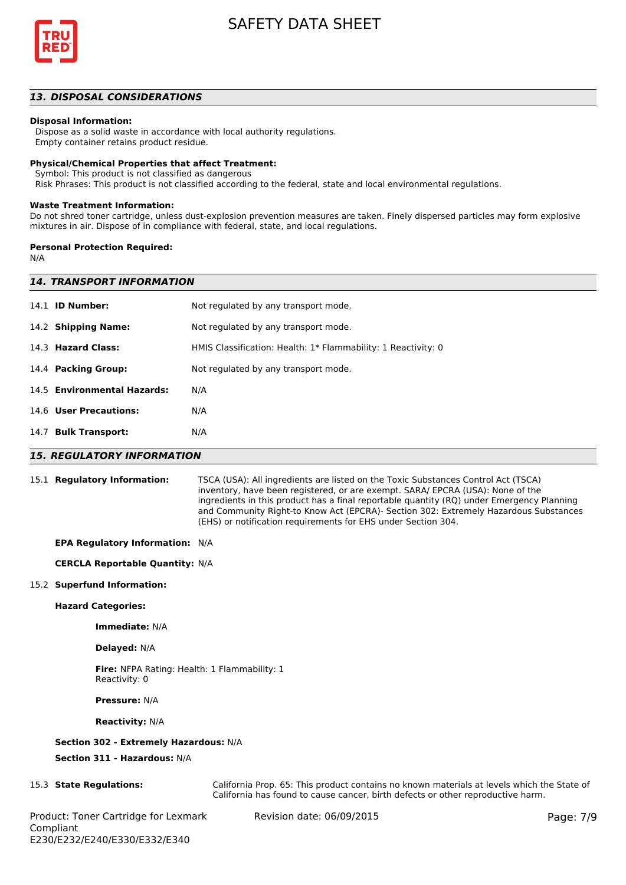

#### *13. DISPOSAL CONSIDERATIONS*

#### **Disposal Information:**

 Dispose as a solid waste in accordance with local authority regulations. Empty container retains product residue.

# **Physical/Chemical Properties that affect Treatment:**

Symbol: This product is not classified as dangerous

Risk Phrases: This product is not classified according to the federal, state and local environmental regulations.

#### **Waste Treatment Information:**

Do not shred toner cartridge, unless dust-explosion prevention measures are taken. Finely dispersed particles may form explosive mixtures in air. Dispose of in compliance with federal, state, and local regulations.

#### **Personal Protection Required:**

N/A

| <b>14. TRANSPORT INFORMATION</b> |                                                               |  |  |
|----------------------------------|---------------------------------------------------------------|--|--|
| 14.1 <b>ID Number:</b>           | Not regulated by any transport mode.                          |  |  |
| 14.2 Shipping Name:              | Not regulated by any transport mode.                          |  |  |
| 14.3 Hazard Class:               | HMIS Classification: Health: 1* Flammability: 1 Reactivity: 0 |  |  |
| 14.4 Packing Group:              | Not regulated by any transport mode.                          |  |  |
| 14.5 Environmental Hazards:      | N/A                                                           |  |  |
| 14.6 User Precautions:           | N/A                                                           |  |  |
| 14.7 Bulk Transport:             | N/A                                                           |  |  |
|                                  |                                                               |  |  |

#### *15. REGULATORY INFORMATION*

15.1 **Regulatory Information:** TSCA (USA): All ingredients are listed on the Toxic Substances Control Act (TSCA) inventory, have been registered, or are exempt. SARA/ EPCRA (USA): None of the ingredients in this product has a final reportable quantity (RQ) under Emergency Planning and Community Right-to Know Act (EPCRA)- Section 302: Extremely Hazardous Substances (EHS) or notification requirements for EHS under Section 304.

#### **EPA Regulatory Information:** N/A

#### **CERCLA Reportable Quantity:** N/A

#### 15.2 **Superfund Information:**

#### **Hazard Categories:**

**Immediate:** N/A

#### **Delayed:** N/A

**Fire:** NFPA Rating: Health: 1 Flammability: 1 Reactivity: 0

**Pressure:** N/A

#### **Reactivity:** N/A

#### **Section 302 - Extremely Hazardous:** N/A

**Section 311 - Hazardous:** N/A

15.3 **State Regulations:** California Prop. 65: This product contains no known materials at levels which the State of California has found to cause cancer, birth defects or other reproductive harm.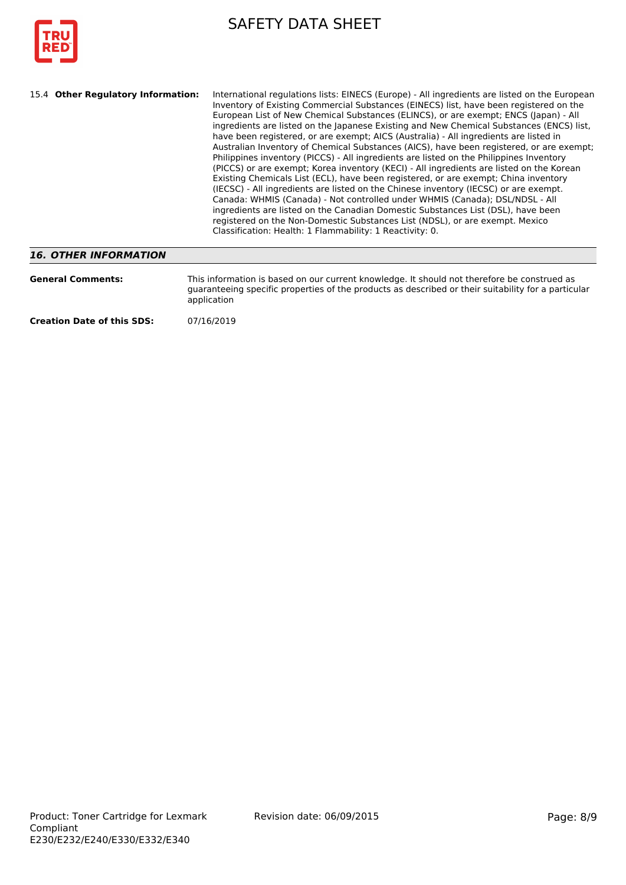

| International regulations lists: EINECS (Europe) - All ingredients are listed on the European<br>15.4 Other Regulatory Information:<br>Inventory of Existing Commercial Substances (EINECS) list, have been registered on the<br>European List of New Chemical Substances (ELINCS), or are exempt; ENCS (Japan) - All<br>ingredients are listed on the Japanese Existing and New Chemical Substances (ENCS) list,<br>have been registered, or are exempt; AICS (Australia) - All ingredients are listed in<br>Australian Inventory of Chemical Substances (AICS), have been registered, or are exempt;<br>Philippines inventory (PICCS) - All ingredients are listed on the Philippines Inventory<br>(PICCS) or are exempt; Korea inventory (KECI) - All ingredients are listed on the Korean<br>Existing Chemicals List (ECL), have been registered, or are exempt; China inventory<br>(IECSC) - All ingredients are listed on the Chinese inventory (IECSC) or are exempt.<br>Canada: WHMIS (Canada) - Not controlled under WHMIS (Canada); DSL/NDSL - All<br>ingredients are listed on the Canadian Domestic Substances List (DSL), have been<br>registered on the Non-Domestic Substances List (NDSL), or are exempt. Mexico<br>Classification: Health: 1 Flammability: 1 Reactivity: 0. |
|----------------------------------------------------------------------------------------------------------------------------------------------------------------------------------------------------------------------------------------------------------------------------------------------------------------------------------------------------------------------------------------------------------------------------------------------------------------------------------------------------------------------------------------------------------------------------------------------------------------------------------------------------------------------------------------------------------------------------------------------------------------------------------------------------------------------------------------------------------------------------------------------------------------------------------------------------------------------------------------------------------------------------------------------------------------------------------------------------------------------------------------------------------------------------------------------------------------------------------------------------------------------------------------------|
|----------------------------------------------------------------------------------------------------------------------------------------------------------------------------------------------------------------------------------------------------------------------------------------------------------------------------------------------------------------------------------------------------------------------------------------------------------------------------------------------------------------------------------------------------------------------------------------------------------------------------------------------------------------------------------------------------------------------------------------------------------------------------------------------------------------------------------------------------------------------------------------------------------------------------------------------------------------------------------------------------------------------------------------------------------------------------------------------------------------------------------------------------------------------------------------------------------------------------------------------------------------------------------------------|

# *16. OTHER INFORMATION*

| <b>General Comments:</b>          | This information is based on our current knowledge. It should not therefore be construed as<br>quaranteeing specific properties of the products as described or their suitability for a particular<br>application |  |
|-----------------------------------|-------------------------------------------------------------------------------------------------------------------------------------------------------------------------------------------------------------------|--|
| <b>Creation Date of this SDS:</b> | 07/16/2019                                                                                                                                                                                                        |  |